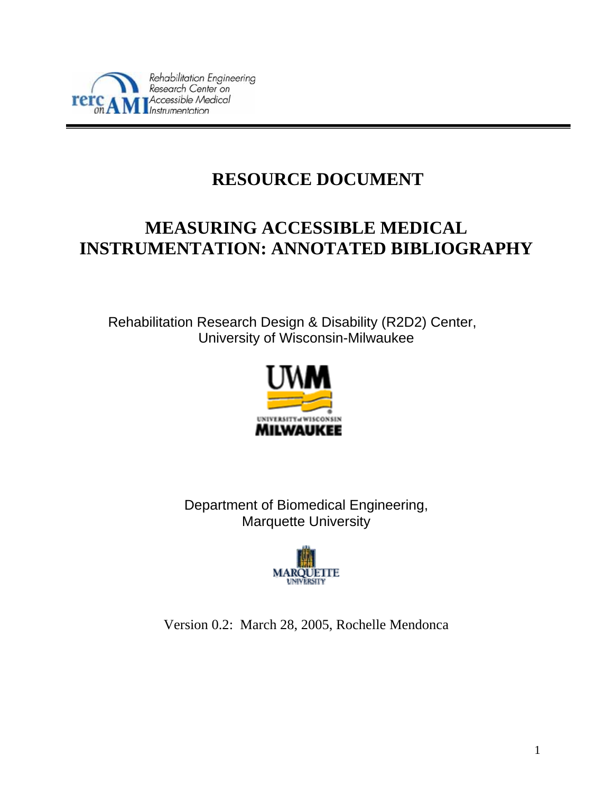

# **RESOURCE DOCUMENT**

# **MEASURING ACCESSIBLE MEDICAL INSTRUMENTATION: ANNOTATED BIBLIOGRAPHY**

Rehabilitation Research Design & Disability (R2D2) Center, University of Wisconsin-Milwaukee



Department of Biomedical Engineering, Marquette University



Version 0.2: March 28, 2005, Rochelle Mendonca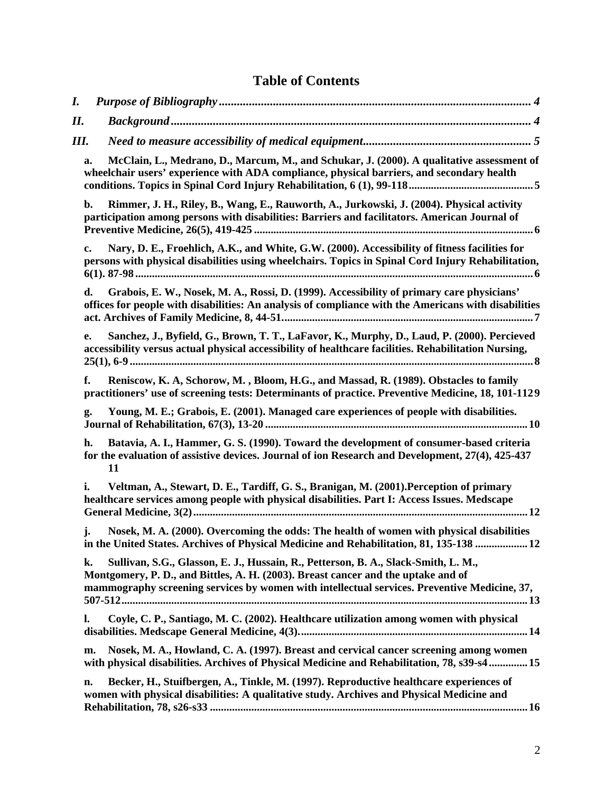### **Table of Contents**

| I. |                                                                                                                                                                                                                                                                               |
|----|-------------------------------------------------------------------------------------------------------------------------------------------------------------------------------------------------------------------------------------------------------------------------------|
| П. |                                                                                                                                                                                                                                                                               |
|    | Ш.                                                                                                                                                                                                                                                                            |
|    | McClain, L., Medrano, D., Marcum, M., and Schukar, J. (2000). A qualitative assessment of<br>a.<br>wheelchair users' experience with ADA compliance, physical barriers, and secondary health                                                                                  |
|    | Rimmer, J. H., Riley, B., Wang, E., Rauworth, A., Jurkowski, J. (2004). Physical activity<br>$b.$<br>participation among persons with disabilities: Barriers and facilitators. American Journal of                                                                            |
|    | Nary, D. E., Froehlich, A.K., and White, G.W. (2000). Accessibility of fitness facilities for<br>c.<br>persons with physical disabilities using wheelchairs. Topics in Spinal Cord Injury Rehabilitation,                                                                     |
|    | Grabois, E. W., Nosek, M. A., Rossi, D. (1999). Accessibility of primary care physicians'<br>d.<br>offices for people with disabilities: An analysis of compliance with the Americans with disabilities                                                                       |
|    | Sanchez, J., Byfield, G., Brown, T. T., LaFavor, K., Murphy, D., Laud, P. (2000). Percieved<br>e.<br>accessibility versus actual physical accessibility of healthcare facilities. Rehabilitation Nursing,                                                                     |
|    | Reniscow, K. A, Schorow, M., Bloom, H.G., and Massad, R. (1989). Obstacles to family<br>f.<br>practitioners' use of screening tests: Determinants of practice. Preventive Medicine, 18, 101-1129                                                                              |
|    | Young, M. E.; Grabois, E. (2001). Managed care experiences of people with disabilities.<br>g.                                                                                                                                                                                 |
|    | Batavia, A. I., Hammer, G. S. (1990). Toward the development of consumer-based criteria<br>h.<br>for the evaluation of assistive devices. Journal of ion Research and Development, 27(4), 425-437<br>11                                                                       |
|    | Veltman, A., Stewart, D. E., Tardiff, G. S., Branigan, M. (2001). Perception of primary<br>i.<br>healthcare services among people with physical disabilities. Part I: Access Issues. Medscape                                                                                 |
|    | Nosek, M. A. (2000). Overcoming the odds: The health of women with physical disabilities<br>j.<br>in the United States. Archives of Physical Medicine and Rehabilitation, 81, 135-138  12                                                                                     |
|    | Sullivan, S.G., Glasson, E. J., Hussain, R., Petterson, B. A., Slack-Smith, L. M.,<br>k.<br>Montgomery, P. D., and Bittles, A. H. (2003). Breast cancer and the uptake and of<br>mammography screening services by women with intellectual services. Preventive Medicine, 37, |
|    | Coyle, C. P., Santiago, M. C. (2002). Healthcare utilization among women with physical<br>$\mathbf{l}$ .                                                                                                                                                                      |
|    | Nosek, M. A., Howland, C. A. (1997). Breast and cervical cancer screening among women<br>m.<br>with physical disabilities. Archives of Physical Medicine and Rehabilitation, 78, s39-s4  15                                                                                   |
|    | Becker, H., Stuifbergen, A., Tinkle, M. (1997). Reproductive healthcare experiences of<br>n.<br>women with physical disabilities: A qualitative study. Archives and Physical Medicine and                                                                                     |
|    |                                                                                                                                                                                                                                                                               |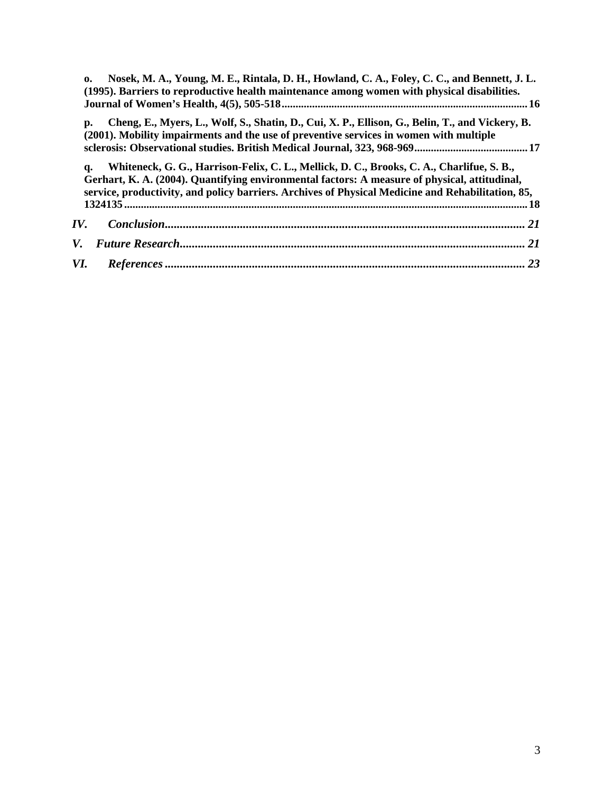| Nosek, M. A., Young, M. E., Rintala, D. H., Howland, C. A., Foley, C. C., and Bennett, J. L.<br>$\mathbf{0}$<br>(1995). Barriers to reproductive health maintenance among women with physical disabilities.                                                                                           |  |
|-------------------------------------------------------------------------------------------------------------------------------------------------------------------------------------------------------------------------------------------------------------------------------------------------------|--|
| Cheng, E., Myers, L., Wolf, S., Shatin, D., Cui, X. P., Ellison, G., Belin, T., and Vickery, B.<br>p.<br>(2001). Mobility impairments and the use of preventive services in women with multiple                                                                                                       |  |
| Whiteneck, G. G., Harrison-Felix, C. L., Mellick, D. C., Brooks, C. A., Charlifue, S. B.,<br>q.<br>Gerhart, K. A. (2004). Quantifying environmental factors: A measure of physical, attitudinal,<br>service, productivity, and policy barriers. Archives of Physical Medicine and Rehabilitation, 85, |  |
| IV.                                                                                                                                                                                                                                                                                                   |  |
| V.                                                                                                                                                                                                                                                                                                    |  |
| VI.<br>$References \dots 23$                                                                                                                                                                                                                                                                          |  |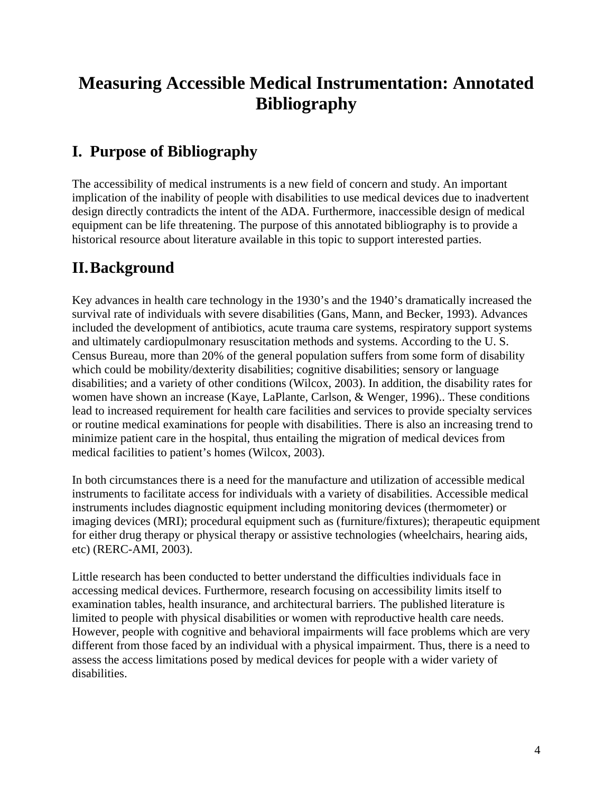# <span id="page-3-0"></span>**Measuring Accessible Medical Instrumentation: Annotated Bibliography**

## **I. Purpose of Bibliography**

The accessibility of medical instruments is a new field of concern and study. An important implication of the inability of people with disabilities to use medical devices due to inadvertent design directly contradicts the intent of the ADA. Furthermore, inaccessible design of medical equipment can be life threatening. The purpose of this annotated bibliography is to provide a historical resource about literature available in this topic to support interested parties.

## **II.Background**

Key advances in health care technology in the 1930's and the 1940's dramatically increased the survival rate of individuals with severe disabilities (Gans, Mann, and Becker, 1993). Advances included the development of antibiotics, acute trauma care systems, respiratory support systems and ultimately cardiopulmonary resuscitation methods and systems. According to the U. S. Census Bureau, more than 20% of the general population suffers from some form of disability which could be mobility/dexterity disabilities; cognitive disabilities; sensory or language disabilities; and a variety of other conditions (Wilcox, 2003). In addition, the disability rates for women have shown an increase (Kaye, LaPlante, Carlson, & Wenger, 1996).. These conditions lead to increased requirement for health care facilities and services to provide specialty services or routine medical examinations for people with disabilities. There is also an increasing trend to minimize patient care in the hospital, thus entailing the migration of medical devices from medical facilities to patient's homes (Wilcox, 2003).

In both circumstances there is a need for the manufacture and utilization of accessible medical instruments to facilitate access for individuals with a variety of disabilities. Accessible medical instruments includes diagnostic equipment including monitoring devices (thermometer) or imaging devices (MRI); procedural equipment such as (furniture/fixtures); therapeutic equipment for either drug therapy or physical therapy or assistive technologies (wheelchairs, hearing aids, etc) (RERC-AMI, 2003).

Little research has been conducted to better understand the difficulties individuals face in accessing medical devices. Furthermore, research focusing on accessibility limits itself to examination tables, health insurance, and architectural barriers. The published literature is limited to people with physical disabilities or women with reproductive health care needs. However, people with cognitive and behavioral impairments will face problems which are very different from those faced by an individual with a physical impairment. Thus, there is a need to assess the access limitations posed by medical devices for people with a wider variety of disabilities.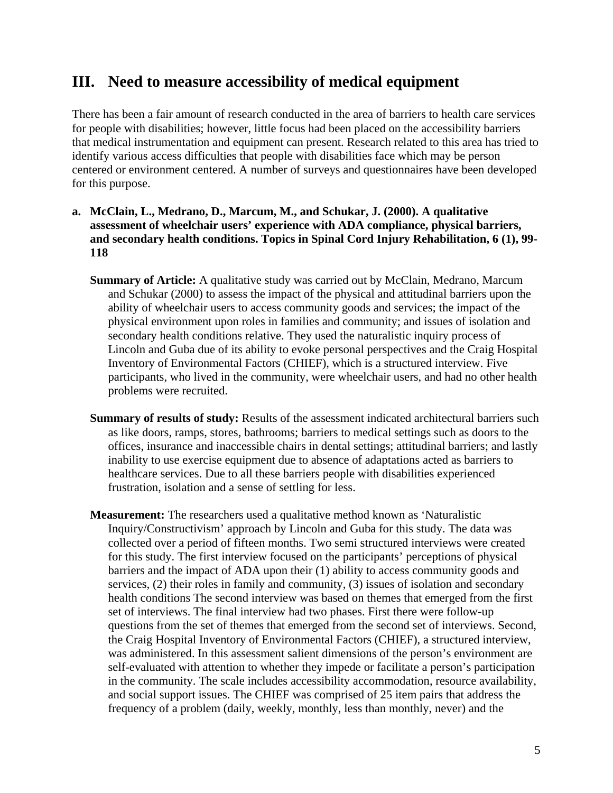### <span id="page-4-0"></span>**III. Need to measure accessibility of medical equipment**

There has been a fair amount of research conducted in the area of barriers to health care services for people with disabilities; however, little focus had been placed on the accessibility barriers that medical instrumentation and equipment can present. Research related to this area has tried to identify various access difficulties that people with disabilities face which may be person centered or environment centered. A number of surveys and questionnaires have been developed for this purpose.

#### **a. McClain, L., Medrano, D., Marcum, M., and Schukar, J. (2000). A qualitative assessment of wheelchair users' experience with ADA compliance, physical barriers, and secondary health conditions. Topics in Spinal Cord Injury Rehabilitation, 6 (1), 99- 118**

- **Summary of Article:** A qualitative study was carried out by McClain, Medrano, Marcum and Schukar (2000) to assess the impact of the physical and attitudinal barriers upon the ability of wheelchair users to access community goods and services; the impact of the physical environment upon roles in families and community; and issues of isolation and secondary health conditions relative. They used the naturalistic inquiry process of Lincoln and Guba due of its ability to evoke personal perspectives and the Craig Hospital Inventory of Environmental Factors (CHIEF), which is a structured interview. Five participants, who lived in the community, were wheelchair users, and had no other health problems were recruited.
- **Summary of results of study:** Results of the assessment indicated architectural barriers such as like doors, ramps, stores, bathrooms; barriers to medical settings such as doors to the offices, insurance and inaccessible chairs in dental settings; attitudinal barriers; and lastly inability to use exercise equipment due to absence of adaptations acted as barriers to healthcare services. Due to all these barriers people with disabilities experienced frustration, isolation and a sense of settling for less.
- **Measurement:** The researchers used a qualitative method known as 'Naturalistic Inquiry/Constructivism' approach by Lincoln and Guba for this study. The data was collected over a period of fifteen months. Two semi structured interviews were created for this study. The first interview focused on the participants' perceptions of physical barriers and the impact of ADA upon their (1) ability to access community goods and services, (2) their roles in family and community, (3) issues of isolation and secondary health conditions The second interview was based on themes that emerged from the first set of interviews. The final interview had two phases. First there were follow-up questions from the set of themes that emerged from the second set of interviews. Second, the Craig Hospital Inventory of Environmental Factors (CHIEF), a structured interview, was administered. In this assessment salient dimensions of the person's environment are self-evaluated with attention to whether they impede or facilitate a person's participation in the community. The scale includes accessibility accommodation, resource availability, and social support issues. The CHIEF was comprised of 25 item pairs that address the frequency of a problem (daily, weekly, monthly, less than monthly, never) and the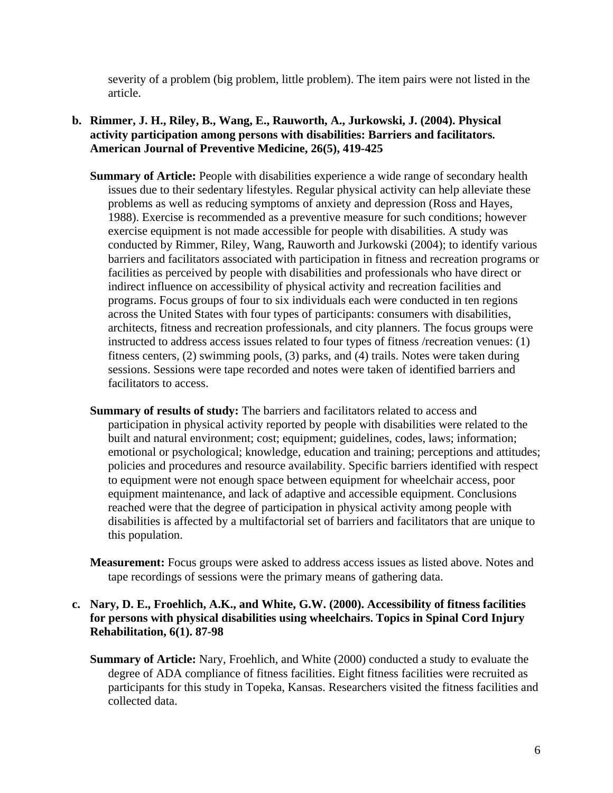<span id="page-5-0"></span>severity of a problem (big problem, little problem). The item pairs were not listed in the article.

- **b. Rimmer, J. H., Riley, B., Wang, E., Rauworth, A., Jurkowski, J. (2004). Physical activity participation among persons with disabilities: Barriers and facilitators. American Journal of Preventive Medicine, 26(5), 419-425** 
	- **Summary of Article:** People with disabilities experience a wide range of secondary health issues due to their sedentary lifestyles. Regular physical activity can help alleviate these problems as well as reducing symptoms of anxiety and depression (Ross and Hayes, 1988). Exercise is recommended as a preventive measure for such conditions; however exercise equipment is not made accessible for people with disabilities. A study was conducted by Rimmer, Riley, Wang, Rauworth and Jurkowski (2004); to identify various barriers and facilitators associated with participation in fitness and recreation programs or facilities as perceived by people with disabilities and professionals who have direct or indirect influence on accessibility of physical activity and recreation facilities and programs. Focus groups of four to six individuals each were conducted in ten regions across the United States with four types of participants: consumers with disabilities, architects, fitness and recreation professionals, and city planners. The focus groups were instructed to address access issues related to four types of fitness /recreation venues: (1) fitness centers, (2) swimming pools, (3) parks, and (4) trails. Notes were taken during sessions. Sessions were tape recorded and notes were taken of identified barriers and facilitators to access.
	- **Summary of results of study:** The barriers and facilitators related to access and participation in physical activity reported by people with disabilities were related to the built and natural environment; cost; equipment; guidelines, codes, laws; information; emotional or psychological; knowledge, education and training; perceptions and attitudes; policies and procedures and resource availability. Specific barriers identified with respect to equipment were not enough space between equipment for wheelchair access, poor equipment maintenance, and lack of adaptive and accessible equipment. Conclusions reached were that the degree of participation in physical activity among people with disabilities is affected by a multifactorial set of barriers and facilitators that are unique to this population.
	- **Measurement:** Focus groups were asked to address access issues as listed above. Notes and tape recordings of sessions were the primary means of gathering data.

#### **c. Nary, D. E., Froehlich, A.K., and White, G.W. (2000). Accessibility of fitness facilities for persons with physical disabilities using wheelchairs. Topics in Spinal Cord Injury Rehabilitation, 6(1). 87-98**

**Summary of Article:** Nary, Froehlich, and White (2000) conducted a study to evaluate the degree of ADA compliance of fitness facilities. Eight fitness facilities were recruited as participants for this study in Topeka, Kansas. Researchers visited the fitness facilities and collected data.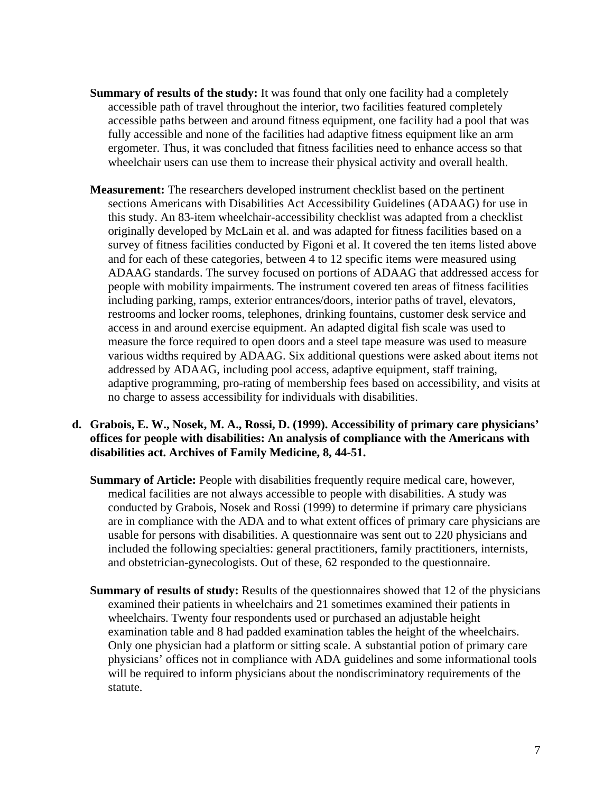- <span id="page-6-0"></span>**Summary of results of the study:** It was found that only one facility had a completely accessible path of travel throughout the interior, two facilities featured completely accessible paths between and around fitness equipment, one facility had a pool that was fully accessible and none of the facilities had adaptive fitness equipment like an arm ergometer. Thus, it was concluded that fitness facilities need to enhance access so that wheelchair users can use them to increase their physical activity and overall health.
- **Measurement:** The researchers developed instrument checklist based on the pertinent sections Americans with Disabilities Act Accessibility Guidelines (ADAAG) for use in this study. An 83-item wheelchair-accessibility checklist was adapted from a checklist originally developed by McLain et al. and was adapted for fitness facilities based on a survey of fitness facilities conducted by Figoni et al. It covered the ten items listed above and for each of these categories, between 4 to 12 specific items were measured using ADAAG standards. The survey focused on portions of ADAAG that addressed access for people with mobility impairments. The instrument covered ten areas of fitness facilities including parking, ramps, exterior entrances/doors, interior paths of travel, elevators, restrooms and locker rooms, telephones, drinking fountains, customer desk service and access in and around exercise equipment. An adapted digital fish scale was used to measure the force required to open doors and a steel tape measure was used to measure various widths required by ADAAG. Six additional questions were asked about items not addressed by ADAAG, including pool access, adaptive equipment, staff training, adaptive programming, pro-rating of membership fees based on accessibility, and visits at no charge to assess accessibility for individuals with disabilities.

#### **d. Grabois, E. W., Nosek, M. A., Rossi, D. (1999). Accessibility of primary care physicians' offices for people with disabilities: An analysis of compliance with the Americans with disabilities act. Archives of Family Medicine, 8, 44-51.**

- **Summary of Article:** People with disabilities frequently require medical care, however, medical facilities are not always accessible to people with disabilities. A study was conducted by Grabois, Nosek and Rossi (1999) to determine if primary care physicians are in compliance with the ADA and to what extent offices of primary care physicians are usable for persons with disabilities. A questionnaire was sent out to 220 physicians and included the following specialties: general practitioners, family practitioners, internists, and obstetrician-gynecologists. Out of these, 62 responded to the questionnaire.
- **Summary of results of study:** Results of the questionnaires showed that 12 of the physicians examined their patients in wheelchairs and 21 sometimes examined their patients in wheelchairs. Twenty four respondents used or purchased an adjustable height examination table and 8 had padded examination tables the height of the wheelchairs. Only one physician had a platform or sitting scale. A substantial potion of primary care physicians' offices not in compliance with ADA guidelines and some informational tools will be required to inform physicians about the nondiscriminatory requirements of the statute.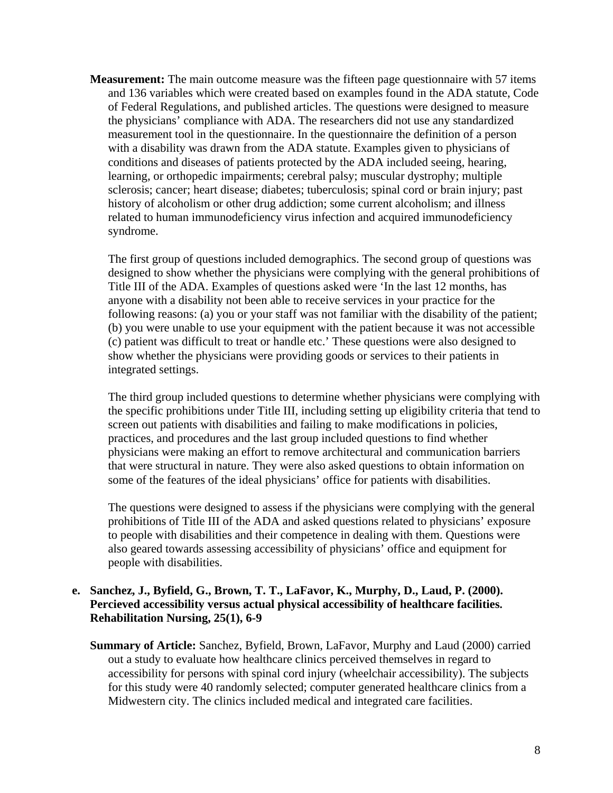<span id="page-7-0"></span>**Measurement:** The main outcome measure was the fifteen page questionnaire with 57 items and 136 variables which were created based on examples found in the ADA statute, Code of Federal Regulations, and published articles. The questions were designed to measure the physicians' compliance with ADA. The researchers did not use any standardized measurement tool in the questionnaire. In the questionnaire the definition of a person with a disability was drawn from the ADA statute. Examples given to physicians of conditions and diseases of patients protected by the ADA included seeing, hearing, learning, or orthopedic impairments; cerebral palsy; muscular dystrophy; multiple sclerosis; cancer; heart disease; diabetes; tuberculosis; spinal cord or brain injury; past history of alcoholism or other drug addiction; some current alcoholism; and illness related to human immunodeficiency virus infection and acquired immunodeficiency syndrome.

The first group of questions included demographics. The second group of questions was designed to show whether the physicians were complying with the general prohibitions of Title III of the ADA. Examples of questions asked were 'In the last 12 months, has anyone with a disability not been able to receive services in your practice for the following reasons: (a) you or your staff was not familiar with the disability of the patient; (b) you were unable to use your equipment with the patient because it was not accessible (c) patient was difficult to treat or handle etc.' These questions were also designed to show whether the physicians were providing goods or services to their patients in integrated settings.

The third group included questions to determine whether physicians were complying with the specific prohibitions under Title III, including setting up eligibility criteria that tend to screen out patients with disabilities and failing to make modifications in policies, practices, and procedures and the last group included questions to find whether physicians were making an effort to remove architectural and communication barriers that were structural in nature. They were also asked questions to obtain information on some of the features of the ideal physicians' office for patients with disabilities.

The questions were designed to assess if the physicians were complying with the general prohibitions of Title III of the ADA and asked questions related to physicians' exposure to people with disabilities and their competence in dealing with them. Questions were also geared towards assessing accessibility of physicians' office and equipment for people with disabilities.

#### **e. Sanchez, J., Byfield, G., Brown, T. T., LaFavor, K., Murphy, D., Laud, P. (2000). Percieved accessibility versus actual physical accessibility of healthcare facilities. Rehabilitation Nursing, 25(1), 6-9**

**Summary of Article:** Sanchez, Byfield, Brown, LaFavor, Murphy and Laud (2000) carried out a study to evaluate how healthcare clinics perceived themselves in regard to accessibility for persons with spinal cord injury (wheelchair accessibility). The subjects for this study were 40 randomly selected; computer generated healthcare clinics from a Midwestern city. The clinics included medical and integrated care facilities.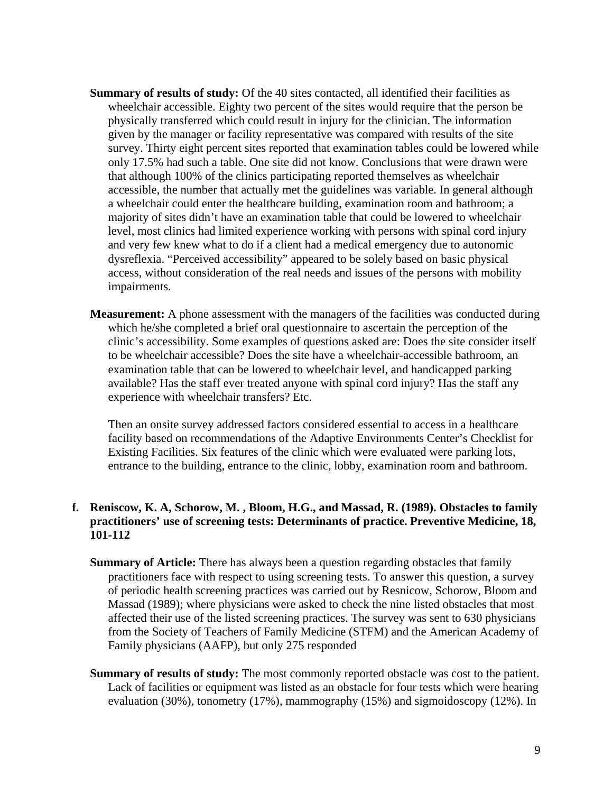- <span id="page-8-0"></span>**Summary of results of study:** Of the 40 sites contacted, all identified their facilities as wheelchair accessible. Eighty two percent of the sites would require that the person be physically transferred which could result in injury for the clinician. The information given by the manager or facility representative was compared with results of the site survey. Thirty eight percent sites reported that examination tables could be lowered while only 17.5% had such a table. One site did not know. Conclusions that were drawn were that although 100% of the clinics participating reported themselves as wheelchair accessible, the number that actually met the guidelines was variable. In general although a wheelchair could enter the healthcare building, examination room and bathroom; a majority of sites didn't have an examination table that could be lowered to wheelchair level, most clinics had limited experience working with persons with spinal cord injury and very few knew what to do if a client had a medical emergency due to autonomic dysreflexia. "Perceived accessibility" appeared to be solely based on basic physical access, without consideration of the real needs and issues of the persons with mobility impairments.
- **Measurement:** A phone assessment with the managers of the facilities was conducted during which he/she completed a brief oral questionnaire to ascertain the perception of the clinic's accessibility. Some examples of questions asked are: Does the site consider itself to be wheelchair accessible? Does the site have a wheelchair-accessible bathroom, an examination table that can be lowered to wheelchair level, and handicapped parking available? Has the staff ever treated anyone with spinal cord injury? Has the staff any experience with wheelchair transfers? Etc.

Then an onsite survey addressed factors considered essential to access in a healthcare facility based on recommendations of the Adaptive Environments Center's Checklist for Existing Facilities. Six features of the clinic which were evaluated were parking lots, entrance to the building, entrance to the clinic, lobby, examination room and bathroom.

#### **f. Reniscow, K. A, Schorow, M. , Bloom, H.G., and Massad, R. (1989). Obstacles to family practitioners' use of screening tests: Determinants of practice. Preventive Medicine, 18, 101-112**

- **Summary of Article:** There has always been a question regarding obstacles that family practitioners face with respect to using screening tests. To answer this question, a survey of periodic health screening practices was carried out by Resnicow, Schorow, Bloom and Massad (1989); where physicians were asked to check the nine listed obstacles that most affected their use of the listed screening practices. The survey was sent to 630 physicians from the Society of Teachers of Family Medicine (STFM) and the American Academy of Family physicians (AAFP), but only 275 responded
- **Summary of results of study:** The most commonly reported obstacle was cost to the patient. Lack of facilities or equipment was listed as an obstacle for four tests which were hearing evaluation (30%), tonometry (17%), mammography (15%) and sigmoidoscopy (12%). In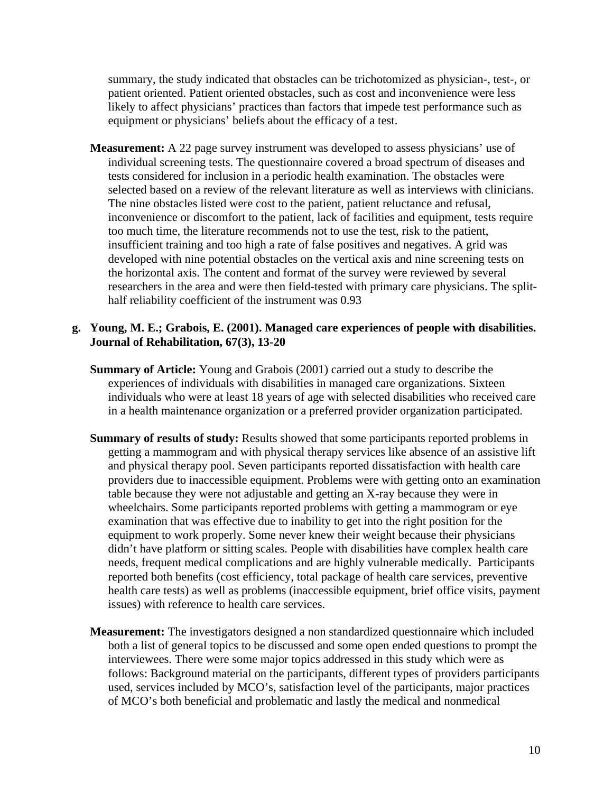<span id="page-9-0"></span>summary, the study indicated that obstacles can be trichotomized as physician-, test-, or patient oriented. Patient oriented obstacles, such as cost and inconvenience were less likely to affect physicians' practices than factors that impede test performance such as equipment or physicians' beliefs about the efficacy of a test.

**Measurement:** A 22 page survey instrument was developed to assess physicians' use of individual screening tests. The questionnaire covered a broad spectrum of diseases and tests considered for inclusion in a periodic health examination. The obstacles were selected based on a review of the relevant literature as well as interviews with clinicians. The nine obstacles listed were cost to the patient, patient reluctance and refusal, inconvenience or discomfort to the patient, lack of facilities and equipment, tests require too much time, the literature recommends not to use the test, risk to the patient, insufficient training and too high a rate of false positives and negatives. A grid was developed with nine potential obstacles on the vertical axis and nine screening tests on the horizontal axis. The content and format of the survey were reviewed by several researchers in the area and were then field-tested with primary care physicians. The splithalf reliability coefficient of the instrument was 0.93

#### **g. Young, M. E.; Grabois, E. (2001). Managed care experiences of people with disabilities. Journal of Rehabilitation, 67(3), 13-20**

- **Summary of Article:** Young and Grabois (2001) carried out a study to describe the experiences of individuals with disabilities in managed care organizations. Sixteen individuals who were at least 18 years of age with selected disabilities who received care in a health maintenance organization or a preferred provider organization participated.
- **Summary of results of study:** Results showed that some participants reported problems in getting a mammogram and with physical therapy services like absence of an assistive lift and physical therapy pool. Seven participants reported dissatisfaction with health care providers due to inaccessible equipment. Problems were with getting onto an examination table because they were not adjustable and getting an X-ray because they were in wheelchairs. Some participants reported problems with getting a mammogram or eye examination that was effective due to inability to get into the right position for the equipment to work properly. Some never knew their weight because their physicians didn't have platform or sitting scales. People with disabilities have complex health care needs, frequent medical complications and are highly vulnerable medically. Participants reported both benefits (cost efficiency, total package of health care services, preventive health care tests) as well as problems (inaccessible equipment, brief office visits, payment issues) with reference to health care services.
- **Measurement:** The investigators designed a non standardized questionnaire which included both a list of general topics to be discussed and some open ended questions to prompt the interviewees. There were some major topics addressed in this study which were as follows: Background material on the participants, different types of providers participants used, services included by MCO's, satisfaction level of the participants, major practices of MCO's both beneficial and problematic and lastly the medical and nonmedical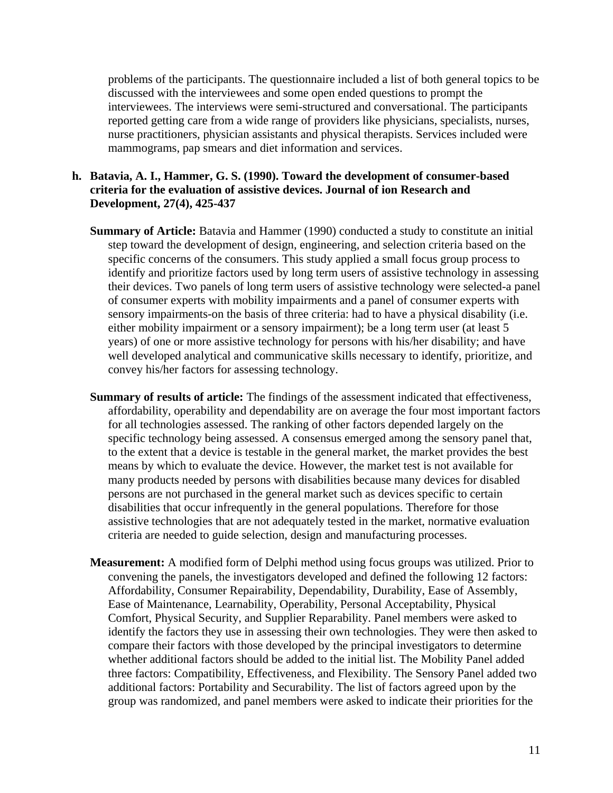<span id="page-10-0"></span>problems of the participants. The questionnaire included a list of both general topics to be discussed with the interviewees and some open ended questions to prompt the interviewees. The interviews were semi-structured and conversational. The participants reported getting care from a wide range of providers like physicians, specialists, nurses, nurse practitioners, physician assistants and physical therapists. Services included were mammograms, pap smears and diet information and services.

#### **h. Batavia, A. I., Hammer, G. S. (1990). Toward the development of consumer-based criteria for the evaluation of assistive devices. Journal of ion Research and Development, 27(4), 425-437**

- **Summary of Article:** Batavia and Hammer (1990) conducted a study to constitute an initial step toward the development of design, engineering, and selection criteria based on the specific concerns of the consumers. This study applied a small focus group process to identify and prioritize factors used by long term users of assistive technology in assessing their devices. Two panels of long term users of assistive technology were selected-a panel of consumer experts with mobility impairments and a panel of consumer experts with sensory impairments-on the basis of three criteria: had to have a physical disability (i.e. either mobility impairment or a sensory impairment); be a long term user (at least 5 years) of one or more assistive technology for persons with his/her disability; and have well developed analytical and communicative skills necessary to identify, prioritize, and convey his/her factors for assessing technology.
- **Summary of results of article:** The findings of the assessment indicated that effectiveness, affordability, operability and dependability are on average the four most important factors for all technologies assessed. The ranking of other factors depended largely on the specific technology being assessed. A consensus emerged among the sensory panel that, to the extent that a device is testable in the general market, the market provides the best means by which to evaluate the device. However, the market test is not available for many products needed by persons with disabilities because many devices for disabled persons are not purchased in the general market such as devices specific to certain disabilities that occur infrequently in the general populations. Therefore for those assistive technologies that are not adequately tested in the market, normative evaluation criteria are needed to guide selection, design and manufacturing processes.
- **Measurement:** A modified form of Delphi method using focus groups was utilized. Prior to convening the panels, the investigators developed and defined the following 12 factors: Affordability, Consumer Repairability, Dependability, Durability, Ease of Assembly, Ease of Maintenance, Learnability, Operability, Personal Acceptability, Physical Comfort, Physical Security, and Supplier Reparability. Panel members were asked to identify the factors they use in assessing their own technologies. They were then asked to compare their factors with those developed by the principal investigators to determine whether additional factors should be added to the initial list. The Mobility Panel added three factors: Compatibility, Effectiveness, and Flexibility. The Sensory Panel added two additional factors: Portability and Securability. The list of factors agreed upon by the group was randomized, and panel members were asked to indicate their priorities for the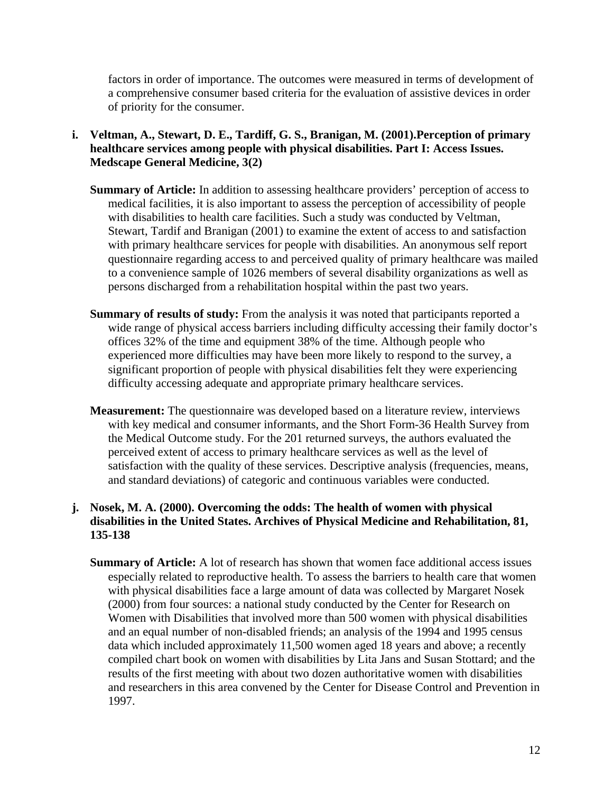<span id="page-11-0"></span>factors in order of importance. The outcomes were measured in terms of development of a comprehensive consumer based criteria for the evaluation of assistive devices in order of priority for the consumer.

- **i. Veltman, A., Stewart, D. E., Tardiff, G. S., Branigan, M. (2001).Perception of primary healthcare services among people with physical disabilities. Part I: Access Issues. Medscape General Medicine, 3(2)** 
	- **Summary of Article:** In addition to assessing healthcare providers' perception of access to medical facilities, it is also important to assess the perception of accessibility of people with disabilities to health care facilities. Such a study was conducted by Veltman, Stewart, Tardif and Branigan (2001) to examine the extent of access to and satisfaction with primary healthcare services for people with disabilities. An anonymous self report questionnaire regarding access to and perceived quality of primary healthcare was mailed to a convenience sample of 1026 members of several disability organizations as well as persons discharged from a rehabilitation hospital within the past two years.
	- **Summary of results of study:** From the analysis it was noted that participants reported a wide range of physical access barriers including difficulty accessing their family doctor's offices 32% of the time and equipment 38% of the time. Although people who experienced more difficulties may have been more likely to respond to the survey, a significant proportion of people with physical disabilities felt they were experiencing difficulty accessing adequate and appropriate primary healthcare services.
	- **Measurement:** The questionnaire was developed based on a literature review, interviews with key medical and consumer informants, and the Short Form-36 Health Survey from the Medical Outcome study. For the 201 returned surveys, the authors evaluated the perceived extent of access to primary healthcare services as well as the level of satisfaction with the quality of these services. Descriptive analysis (frequencies, means, and standard deviations) of categoric and continuous variables were conducted.
- **j. Nosek, M. A. (2000). Overcoming the odds: The health of women with physical disabilities in the United States. Archives of Physical Medicine and Rehabilitation, 81, 135-138** 
	- **Summary of Article:** A lot of research has shown that women face additional access issues especially related to reproductive health. To assess the barriers to health care that women with physical disabilities face a large amount of data was collected by Margaret Nosek (2000) from four sources: a national study conducted by the Center for Research on Women with Disabilities that involved more than 500 women with physical disabilities and an equal number of non-disabled friends; an analysis of the 1994 and 1995 census data which included approximately 11,500 women aged 18 years and above; a recently compiled chart book on women with disabilities by Lita Jans and Susan Stottard; and the results of the first meeting with about two dozen authoritative women with disabilities and researchers in this area convened by the Center for Disease Control and Prevention in 1997.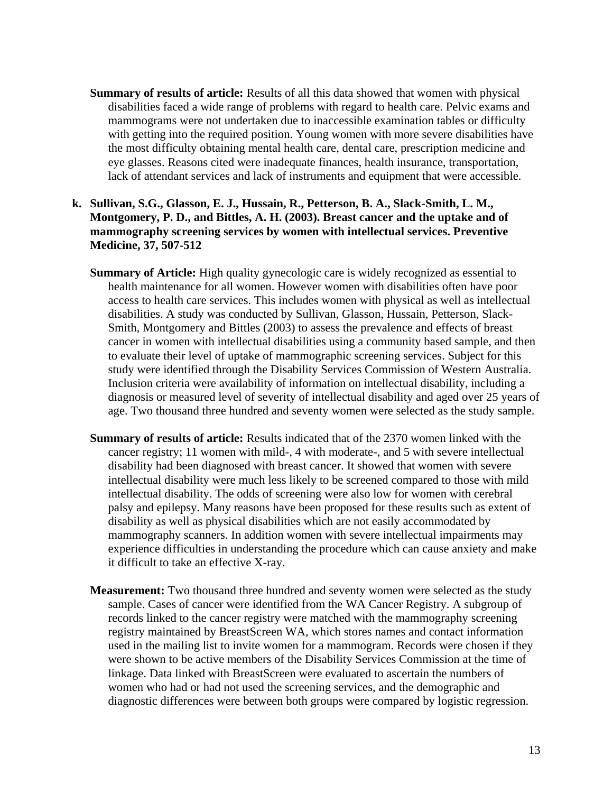- <span id="page-12-0"></span>**Summary of results of article:** Results of all this data showed that women with physical disabilities faced a wide range of problems with regard to health care. Pelvic exams and mammograms were not undertaken due to inaccessible examination tables or difficulty with getting into the required position. Young women with more severe disabilities have the most difficulty obtaining mental health care, dental care, prescription medicine and eye glasses. Reasons cited were inadequate finances, health insurance, transportation, lack of attendant services and lack of instruments and equipment that were accessible.
- **k. Sullivan, S.G., Glasson, E. J., Hussain, R., Petterson, B. A., Slack-Smith, L. M., Montgomery, P. D., and Bittles, A. H. (2003). Breast cancer and the uptake and of mammography screening services by women with intellectual services. Preventive Medicine, 37, 507-512** 
	- **Summary of Article:** High quality gynecologic care is widely recognized as essential to health maintenance for all women. However women with disabilities often have poor access to health care services. This includes women with physical as well as intellectual disabilities. A study was conducted by Sullivan, Glasson, Hussain, Petterson, Slack-Smith, Montgomery and Bittles (2003) to assess the prevalence and effects of breast cancer in women with intellectual disabilities using a community based sample, and then to evaluate their level of uptake of mammographic screening services. Subject for this study were identified through the Disability Services Commission of Western Australia. Inclusion criteria were availability of information on intellectual disability, including a diagnosis or measured level of severity of intellectual disability and aged over 25 years of age. Two thousand three hundred and seventy women were selected as the study sample.
	- **Summary of results of article:** Results indicated that of the 2370 women linked with the cancer registry; 11 women with mild-, 4 with moderate-, and 5 with severe intellectual disability had been diagnosed with breast cancer. It showed that women with severe intellectual disability were much less likely to be screened compared to those with mild intellectual disability. The odds of screening were also low for women with cerebral palsy and epilepsy. Many reasons have been proposed for these results such as extent of disability as well as physical disabilities which are not easily accommodated by mammography scanners. In addition women with severe intellectual impairments may experience difficulties in understanding the procedure which can cause anxiety and make it difficult to take an effective X-ray.
	- **Measurement:** Two thousand three hundred and seventy women were selected as the study sample. Cases of cancer were identified from the WA Cancer Registry. A subgroup of records linked to the cancer registry were matched with the mammography screening registry maintained by BreastScreen WA, which stores names and contact information used in the mailing list to invite women for a mammogram. Records were chosen if they were shown to be active members of the Disability Services Commission at the time of linkage. Data linked with BreastScreen were evaluated to ascertain the numbers of women who had or had not used the screening services, and the demographic and diagnostic differences were between both groups were compared by logistic regression.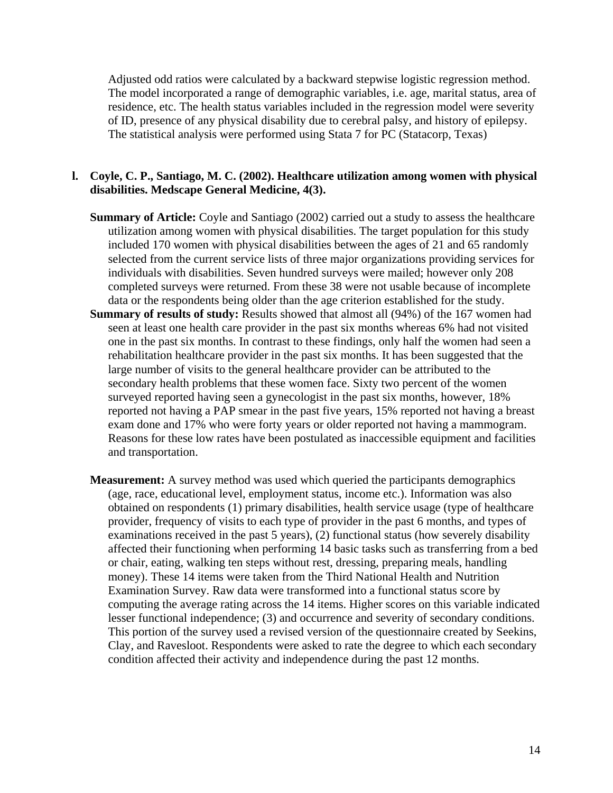<span id="page-13-0"></span>Adjusted odd ratios were calculated by a backward stepwise logistic regression method. The model incorporated a range of demographic variables, i.e. age, marital status, area of residence, etc. The health status variables included in the regression model were severity of ID, presence of any physical disability due to cerebral palsy, and history of epilepsy. The statistical analysis were performed using Stata 7 for PC (Statacorp, Texas)

#### **l. Coyle, C. P., Santiago, M. C. (2002). Healthcare utilization among women with physical disabilities. Medscape General Medicine, 4(3).**

- **Summary of Article:** Coyle and Santiago (2002) carried out a study to assess the healthcare utilization among women with physical disabilities. The target population for this study included 170 women with physical disabilities between the ages of 21 and 65 randomly selected from the current service lists of three major organizations providing services for individuals with disabilities. Seven hundred surveys were mailed; however only 208 completed surveys were returned. From these 38 were not usable because of incomplete data or the respondents being older than the age criterion established for the study.
- **Summary of results of study:** Results showed that almost all (94%) of the 167 women had seen at least one health care provider in the past six months whereas 6% had not visited one in the past six months. In contrast to these findings, only half the women had seen a rehabilitation healthcare provider in the past six months. It has been suggested that the large number of visits to the general healthcare provider can be attributed to the secondary health problems that these women face. Sixty two percent of the women surveyed reported having seen a gynecologist in the past six months, however, 18% reported not having a PAP smear in the past five years, 15% reported not having a breast exam done and 17% who were forty years or older reported not having a mammogram. Reasons for these low rates have been postulated as inaccessible equipment and facilities and transportation.
- **Measurement:** A survey method was used which queried the participants demographics (age, race, educational level, employment status, income etc.). Information was also obtained on respondents (1) primary disabilities, health service usage (type of healthcare provider, frequency of visits to each type of provider in the past 6 months, and types of examinations received in the past 5 years), (2) functional status (how severely disability affected their functioning when performing 14 basic tasks such as transferring from a bed or chair, eating, walking ten steps without rest, dressing, preparing meals, handling money). These 14 items were taken from the Third National Health and Nutrition Examination Survey. Raw data were transformed into a functional status score by computing the average rating across the 14 items. Higher scores on this variable indicated lesser functional independence; (3) and occurrence and severity of secondary conditions. This portion of the survey used a revised version of the questionnaire created by Seekins, Clay, and Ravesloot. Respondents were asked to rate the degree to which each secondary condition affected their activity and independence during the past 12 months.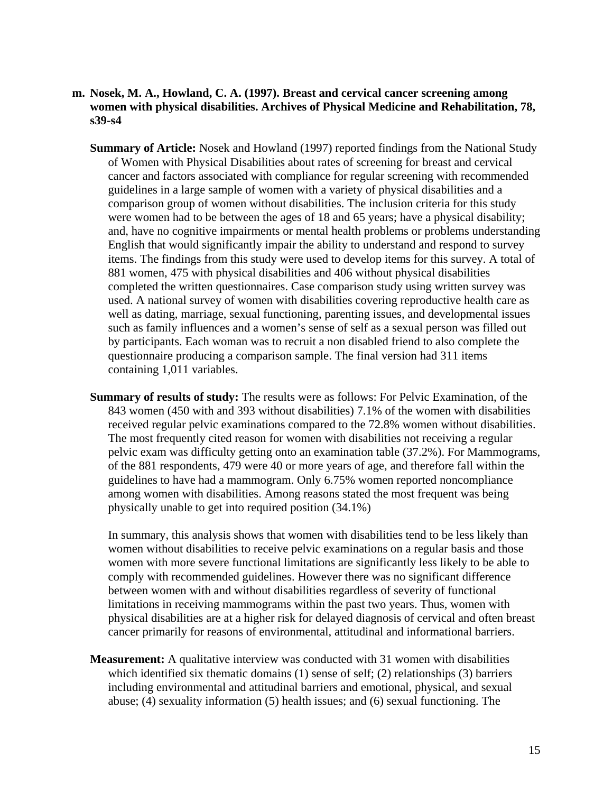#### <span id="page-14-0"></span>**m. Nosek, M. A., Howland, C. A. (1997). Breast and cervical cancer screening among women with physical disabilities. Archives of Physical Medicine and Rehabilitation, 78, s39-s4**

- **Summary of Article:** Nosek and Howland (1997) reported findings from the National Study of Women with Physical Disabilities about rates of screening for breast and cervical cancer and factors associated with compliance for regular screening with recommended guidelines in a large sample of women with a variety of physical disabilities and a comparison group of women without disabilities. The inclusion criteria for this study were women had to be between the ages of 18 and 65 years; have a physical disability; and, have no cognitive impairments or mental health problems or problems understanding English that would significantly impair the ability to understand and respond to survey items. The findings from this study were used to develop items for this survey. A total of 881 women, 475 with physical disabilities and 406 without physical disabilities completed the written questionnaires. Case comparison study using written survey was used. A national survey of women with disabilities covering reproductive health care as well as dating, marriage, sexual functioning, parenting issues, and developmental issues such as family influences and a women's sense of self as a sexual person was filled out by participants. Each woman was to recruit a non disabled friend to also complete the questionnaire producing a comparison sample. The final version had 311 items containing 1,011 variables.
- **Summary of results of study:** The results were as follows: For Pelvic Examination, of the 843 women (450 with and 393 without disabilities) 7.1% of the women with disabilities received regular pelvic examinations compared to the 72.8% women without disabilities. The most frequently cited reason for women with disabilities not receiving a regular pelvic exam was difficulty getting onto an examination table (37.2%). For Mammograms, of the 881 respondents, 479 were 40 or more years of age, and therefore fall within the guidelines to have had a mammogram. Only 6.75% women reported noncompliance among women with disabilities. Among reasons stated the most frequent was being physically unable to get into required position (34.1%)

In summary, this analysis shows that women with disabilities tend to be less likely than women without disabilities to receive pelvic examinations on a regular basis and those women with more severe functional limitations are significantly less likely to be able to comply with recommended guidelines. However there was no significant difference between women with and without disabilities regardless of severity of functional limitations in receiving mammograms within the past two years. Thus, women with physical disabilities are at a higher risk for delayed diagnosis of cervical and often breast cancer primarily for reasons of environmental, attitudinal and informational barriers.

**Measurement:** A qualitative interview was conducted with 31 women with disabilities which identified six thematic domains (1) sense of self; (2) relationships (3) barriers including environmental and attitudinal barriers and emotional, physical, and sexual abuse; (4) sexuality information (5) health issues; and (6) sexual functioning. The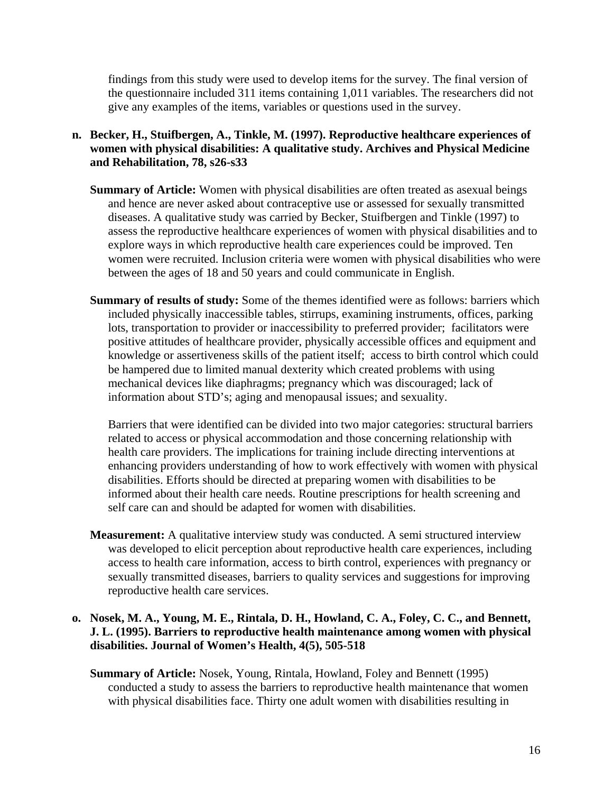<span id="page-15-0"></span>findings from this study were used to develop items for the survey. The final version of the questionnaire included 311 items containing 1,011 variables. The researchers did not give any examples of the items, variables or questions used in the survey.

#### **n. Becker, H., Stuifbergen, A., Tinkle, M. (1997). Reproductive healthcare experiences of women with physical disabilities: A qualitative study. Archives and Physical Medicine and Rehabilitation, 78, s26-s33**

- **Summary of Article:** Women with physical disabilities are often treated as asexual beings and hence are never asked about contraceptive use or assessed for sexually transmitted diseases. A qualitative study was carried by Becker, Stuifbergen and Tinkle (1997) to assess the reproductive healthcare experiences of women with physical disabilities and to explore ways in which reproductive health care experiences could be improved. Ten women were recruited. Inclusion criteria were women with physical disabilities who were between the ages of 18 and 50 years and could communicate in English.
- **Summary of results of study:** Some of the themes identified were as follows: barriers which included physically inaccessible tables, stirrups, examining instruments, offices, parking lots, transportation to provider or inaccessibility to preferred provider; facilitators were positive attitudes of healthcare provider, physically accessible offices and equipment and knowledge or assertiveness skills of the patient itself; access to birth control which could be hampered due to limited manual dexterity which created problems with using mechanical devices like diaphragms; pregnancy which was discouraged; lack of information about STD's; aging and menopausal issues; and sexuality.

Barriers that were identified can be divided into two major categories: structural barriers related to access or physical accommodation and those concerning relationship with health care providers. The implications for training include directing interventions at enhancing providers understanding of how to work effectively with women with physical disabilities. Efforts should be directed at preparing women with disabilities to be informed about their health care needs. Routine prescriptions for health screening and self care can and should be adapted for women with disabilities.

**Measurement:** A qualitative interview study was conducted. A semi structured interview was developed to elicit perception about reproductive health care experiences, including access to health care information, access to birth control, experiences with pregnancy or sexually transmitted diseases, barriers to quality services and suggestions for improving reproductive health care services.

#### **o. Nosek, M. A., Young, M. E., Rintala, D. H., Howland, C. A., Foley, C. C., and Bennett, J. L. (1995). Barriers to reproductive health maintenance among women with physical disabilities. Journal of Women's Health, 4(5), 505-518**

**Summary of Article:** Nosek, Young, Rintala, Howland, Foley and Bennett (1995) conducted a study to assess the barriers to reproductive health maintenance that women with physical disabilities face. Thirty one adult women with disabilities resulting in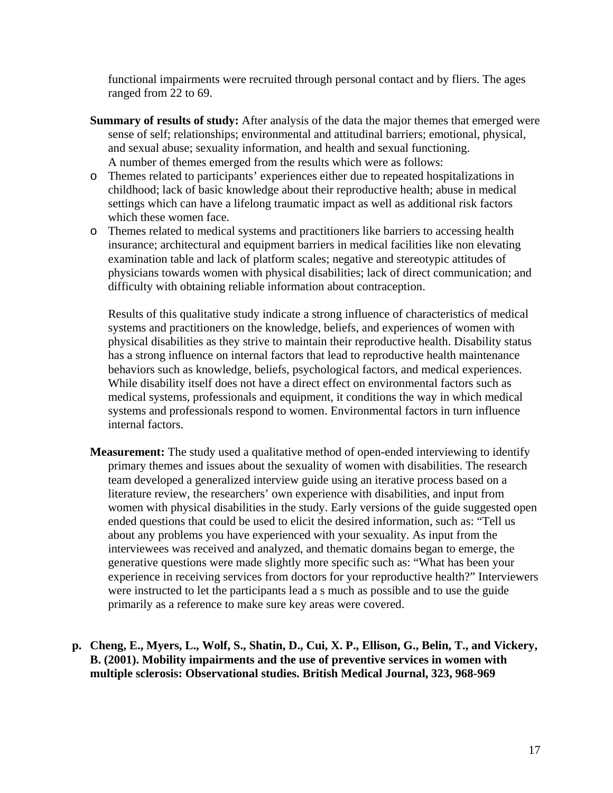<span id="page-16-0"></span>functional impairments were recruited through personal contact and by fliers. The ages ranged from 22 to 69.

- **Summary of results of study:** After analysis of the data the major themes that emerged were sense of self; relationships; environmental and attitudinal barriers; emotional, physical, and sexual abuse; sexuality information, and health and sexual functioning. A number of themes emerged from the results which were as follows:
- o Themes related to participants' experiences either due to repeated hospitalizations in childhood; lack of basic knowledge about their reproductive health; abuse in medical settings which can have a lifelong traumatic impact as well as additional risk factors which these women face.
- o Themes related to medical systems and practitioners like barriers to accessing health insurance; architectural and equipment barriers in medical facilities like non elevating examination table and lack of platform scales; negative and stereotypic attitudes of physicians towards women with physical disabilities; lack of direct communication; and difficulty with obtaining reliable information about contraception.

Results of this qualitative study indicate a strong influence of characteristics of medical systems and practitioners on the knowledge, beliefs, and experiences of women with physical disabilities as they strive to maintain their reproductive health. Disability status has a strong influence on internal factors that lead to reproductive health maintenance behaviors such as knowledge, beliefs, psychological factors, and medical experiences. While disability itself does not have a direct effect on environmental factors such as medical systems, professionals and equipment, it conditions the way in which medical systems and professionals respond to women. Environmental factors in turn influence internal factors.

- **Measurement:** The study used a qualitative method of open-ended interviewing to identify primary themes and issues about the sexuality of women with disabilities. The research team developed a generalized interview guide using an iterative process based on a literature review, the researchers' own experience with disabilities, and input from women with physical disabilities in the study. Early versions of the guide suggested open ended questions that could be used to elicit the desired information, such as: "Tell us about any problems you have experienced with your sexuality. As input from the interviewees was received and analyzed, and thematic domains began to emerge, the generative questions were made slightly more specific such as: "What has been your experience in receiving services from doctors for your reproductive health?" Interviewers were instructed to let the participants lead a s much as possible and to use the guide primarily as a reference to make sure key areas were covered.
- **p. Cheng, E., Myers, L., Wolf, S., Shatin, D., Cui, X. P., Ellison, G., Belin, T., and Vickery, B. (2001). Mobility impairments and the use of preventive services in women with multiple sclerosis: Observational studies. British Medical Journal, 323, 968-969**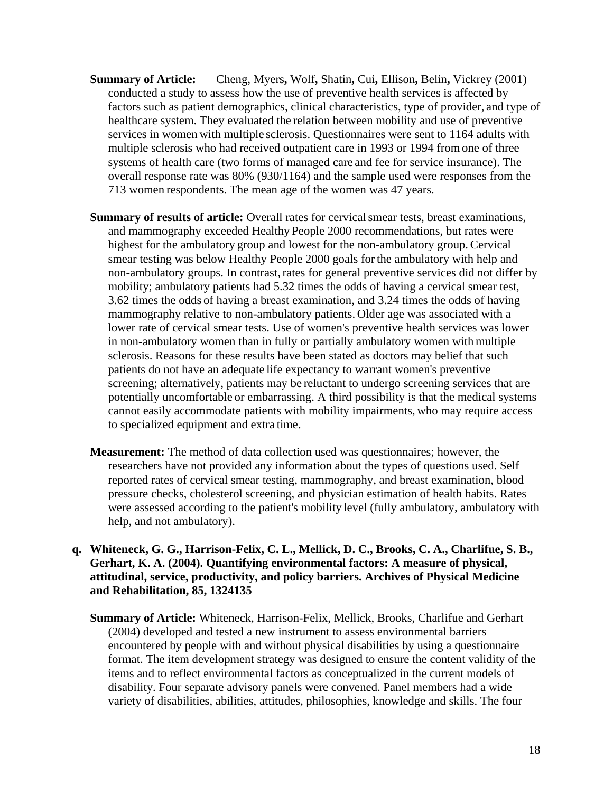- <span id="page-17-0"></span>**Summary of Article:** Cheng, Myers**,** Wolf**,** Shatin**,** Cui**,** Ellison**,** Belin**,** Vickrey (2001) conducted a study to assess how the use of preventive health services is affected by factors such as patient demographics, clinical characteristics, type of provider, and type of healthcare system. They evaluated the relation between mobility and use of preventive services in women with multiple sclerosis. Questionnaires were sent to 1164 adults with multiple sclerosis who had received outpatient care in 1993 or 1994 from one of three systems of health care (two forms of managed care and fee for service insurance). The overall response rate was 80% (930/1164) and the sample used were responses from the 713 women respondents. The mean age of the women was 47 years.
- **Summary of results of article:** Overall rates for cervicalsmear tests, breast examinations, and mammography exceeded Healthy People 2000 recommendations, but rates were highest for the ambulatory group and lowest for the non-ambulatory group.Cervical smear testing was below Healthy People 2000 goals forthe ambulatory with help and non-ambulatory groups. In contrast, rates for general preventive services did not differ by mobility; ambulatory patients had 5.32 times the odds of having a cervical smear test, 3.62 times the odds of having a breast examination, and 3.24 times the odds of having mammography relative to non-ambulatory patients. Older age was associated with a lower rate of cervical smear tests. Use of women's preventive health services was lower in non-ambulatory women than in fully or partially ambulatory women with multiple sclerosis. Reasons for these results have been stated as doctors may belief that such patients do not have an adequate life expectancy to warrant women's preventive screening; alternatively, patients may be reluctant to undergo screening services that are potentially uncomfortable or embarrassing. A third possibility is that the medical systems cannot easily accommodate patients with mobility impairments, who may require access to specialized equipment and extra time.
- **Measurement:** The method of data collection used was questionnaires; however, the researchers have not provided any information about the types of questions used. Self reported rates of cervical smear testing, mammography, and breast examination, blood pressure checks, cholesterol screening, and physician estimation of health habits. Rates were assessed according to the patient's mobility level (fully ambulatory, ambulatory with help, and not ambulatory).
- **q. Whiteneck, G. G., Harrison-Felix, C. L., Mellick, D. C., Brooks, C. A., Charlifue, S. B., Gerhart, K. A. (2004). Quantifying environmental factors: A measure of physical, attitudinal, service, productivity, and policy barriers. Archives of Physical Medicine and Rehabilitation, 85, 1324135** 
	- **Summary of Article:** Whiteneck, Harrison-Felix, Mellick, Brooks, Charlifue and Gerhart (2004) developed and tested a new instrument to assess environmental barriers encountered by people with and without physical disabilities by using a questionnaire format. The item development strategy was designed to ensure the content validity of the items and to reflect environmental factors as conceptualized in the current models of disability. Four separate advisory panels were convened. Panel members had a wide variety of disabilities, abilities, attitudes, philosophies, knowledge and skills. The four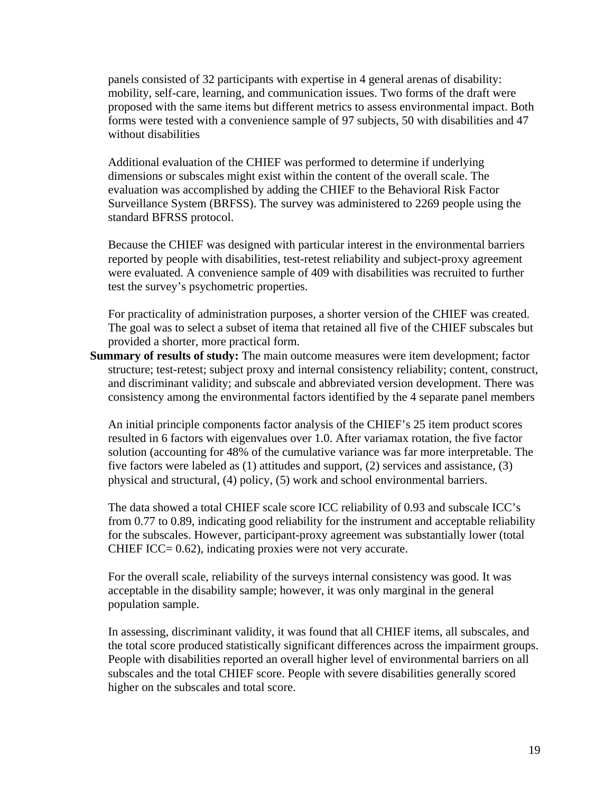panels consisted of 32 participants with expertise in 4 general arenas of disability: mobility, self-care, learning, and communication issues. Two forms of the draft were proposed with the same items but different metrics to assess environmental impact. Both forms were tested with a convenience sample of 97 subjects, 50 with disabilities and 47 without disabilities

Additional evaluation of the CHIEF was performed to determine if underlying dimensions or subscales might exist within the content of the overall scale. The evaluation was accomplished by adding the CHIEF to the Behavioral Risk Factor Surveillance System (BRFSS). The survey was administered to 2269 people using the standard BFRSS protocol.

Because the CHIEF was designed with particular interest in the environmental barriers reported by people with disabilities, test-retest reliability and subject-proxy agreement were evaluated. A convenience sample of 409 with disabilities was recruited to further test the survey's psychometric properties.

For practicality of administration purposes, a shorter version of the CHIEF was created. The goal was to select a subset of itema that retained all five of the CHIEF subscales but provided a shorter, more practical form.

**Summary of results of study:** The main outcome measures were item development; factor structure; test-retest; subject proxy and internal consistency reliability; content, construct, and discriminant validity; and subscale and abbreviated version development. There was consistency among the environmental factors identified by the 4 separate panel members

An initial principle components factor analysis of the CHIEF's 25 item product scores resulted in 6 factors with eigenvalues over 1.0. After variamax rotation, the five factor solution (accounting for 48% of the cumulative variance was far more interpretable. The five factors were labeled as (1) attitudes and support, (2) services and assistance, (3) physical and structural, (4) policy, (5) work and school environmental barriers.

The data showed a total CHIEF scale score ICC reliability of 0.93 and subscale ICC's from 0.77 to 0.89, indicating good reliability for the instrument and acceptable reliability for the subscales. However, participant-proxy agreement was substantially lower (total CHIEF ICC= 0.62), indicating proxies were not very accurate.

For the overall scale, reliability of the surveys internal consistency was good. It was acceptable in the disability sample; however, it was only marginal in the general population sample.

In assessing, discriminant validity, it was found that all CHIEF items, all subscales, and the total score produced statistically significant differences across the impairment groups. People with disabilities reported an overall higher level of environmental barriers on all subscales and the total CHIEF score. People with severe disabilities generally scored higher on the subscales and total score.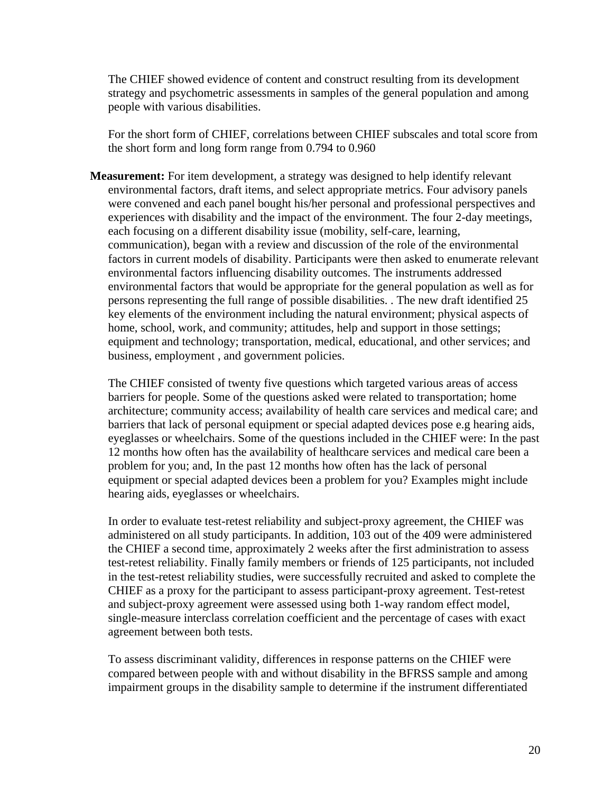The CHIEF showed evidence of content and construct resulting from its development strategy and psychometric assessments in samples of the general population and among people with various disabilities.

For the short form of CHIEF, correlations between CHIEF subscales and total score from the short form and long form range from 0.794 to 0.960

**Measurement:** For item development, a strategy was designed to help identify relevant environmental factors, draft items, and select appropriate metrics. Four advisory panels were convened and each panel bought his/her personal and professional perspectives and experiences with disability and the impact of the environment. The four 2-day meetings, each focusing on a different disability issue (mobility, self-care, learning, communication), began with a review and discussion of the role of the environmental factors in current models of disability. Participants were then asked to enumerate relevant environmental factors influencing disability outcomes. The instruments addressed environmental factors that would be appropriate for the general population as well as for persons representing the full range of possible disabilities. . The new draft identified 25 key elements of the environment including the natural environment; physical aspects of home, school, work, and community; attitudes, help and support in those settings; equipment and technology; transportation, medical, educational, and other services; and business, employment , and government policies.

The CHIEF consisted of twenty five questions which targeted various areas of access barriers for people. Some of the questions asked were related to transportation; home architecture; community access; availability of health care services and medical care; and barriers that lack of personal equipment or special adapted devices pose e.g hearing aids, eyeglasses or wheelchairs. Some of the questions included in the CHIEF were: In the past 12 months how often has the availability of healthcare services and medical care been a problem for you; and, In the past 12 months how often has the lack of personal equipment or special adapted devices been a problem for you? Examples might include hearing aids, eyeglasses or wheelchairs.

In order to evaluate test-retest reliability and subject-proxy agreement, the CHIEF was administered on all study participants. In addition, 103 out of the 409 were administered the CHIEF a second time, approximately 2 weeks after the first administration to assess test-retest reliability. Finally family members or friends of 125 participants, not included in the test-retest reliability studies, were successfully recruited and asked to complete the CHIEF as a proxy for the participant to assess participant-proxy agreement. Test-retest and subject-proxy agreement were assessed using both 1-way random effect model, single-measure interclass correlation coefficient and the percentage of cases with exact agreement between both tests.

To assess discriminant validity, differences in response patterns on the CHIEF were compared between people with and without disability in the BFRSS sample and among impairment groups in the disability sample to determine if the instrument differentiated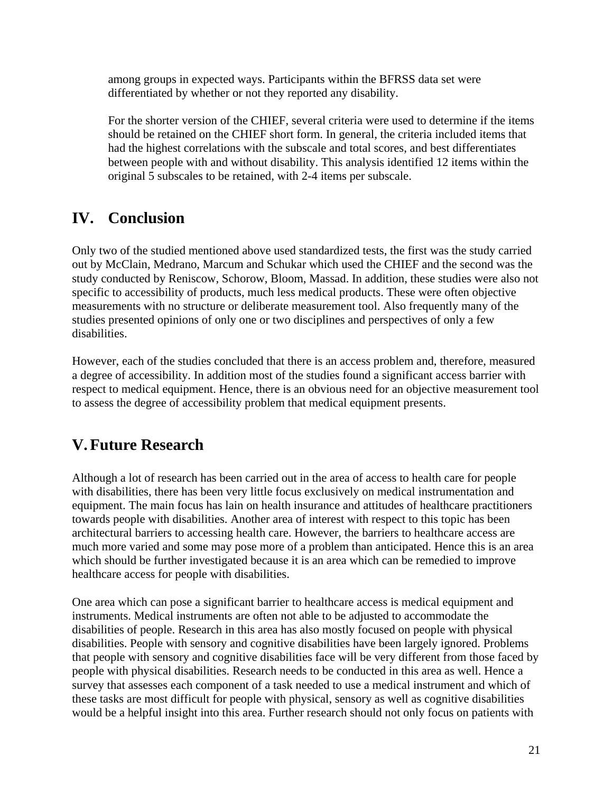<span id="page-20-0"></span>among groups in expected ways. Participants within the BFRSS data set were differentiated by whether or not they reported any disability.

For the shorter version of the CHIEF, several criteria were used to determine if the items should be retained on the CHIEF short form. In general, the criteria included items that had the highest correlations with the subscale and total scores, and best differentiates between people with and without disability. This analysis identified 12 items within the original 5 subscales to be retained, with 2-4 items per subscale.

### **IV. Conclusion**

Only two of the studied mentioned above used standardized tests, the first was the study carried out by McClain, Medrano, Marcum and Schukar which used the CHIEF and the second was the study conducted by Reniscow, Schorow, Bloom, Massad. In addition, these studies were also not specific to accessibility of products, much less medical products. These were often objective measurements with no structure or deliberate measurement tool. Also frequently many of the studies presented opinions of only one or two disciplines and perspectives of only a few disabilities.

However, each of the studies concluded that there is an access problem and, therefore, measured a degree of accessibility. In addition most of the studies found a significant access barrier with respect to medical equipment. Hence, there is an obvious need for an objective measurement tool to assess the degree of accessibility problem that medical equipment presents.

## **V.Future Research**

Although a lot of research has been carried out in the area of access to health care for people with disabilities, there has been very little focus exclusively on medical instrumentation and equipment. The main focus has lain on health insurance and attitudes of healthcare practitioners towards people with disabilities. Another area of interest with respect to this topic has been architectural barriers to accessing health care. However, the barriers to healthcare access are much more varied and some may pose more of a problem than anticipated. Hence this is an area which should be further investigated because it is an area which can be remedied to improve healthcare access for people with disabilities.

One area which can pose a significant barrier to healthcare access is medical equipment and instruments. Medical instruments are often not able to be adjusted to accommodate the disabilities of people. Research in this area has also mostly focused on people with physical disabilities. People with sensory and cognitive disabilities have been largely ignored. Problems that people with sensory and cognitive disabilities face will be very different from those faced by people with physical disabilities. Research needs to be conducted in this area as well. Hence a survey that assesses each component of a task needed to use a medical instrument and which of these tasks are most difficult for people with physical, sensory as well as cognitive disabilities would be a helpful insight into this area. Further research should not only focus on patients with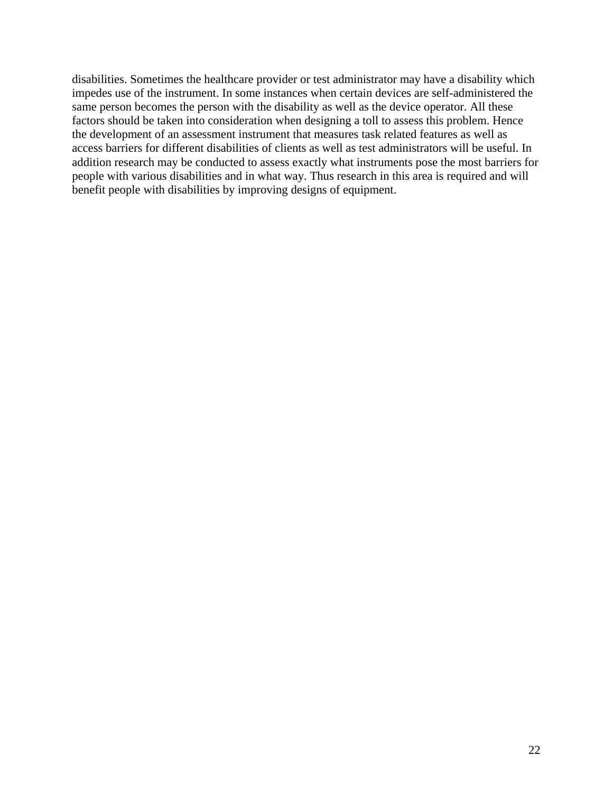disabilities. Sometimes the healthcare provider or test administrator may have a disability which impedes use of the instrument. In some instances when certain devices are self-administered the same person becomes the person with the disability as well as the device operator. All these factors should be taken into consideration when designing a toll to assess this problem. Hence the development of an assessment instrument that measures task related features as well as access barriers for different disabilities of clients as well as test administrators will be useful. In addition research may be conducted to assess exactly what instruments pose the most barriers for people with various disabilities and in what way. Thus research in this area is required and will benefit people with disabilities by improving designs of equipment.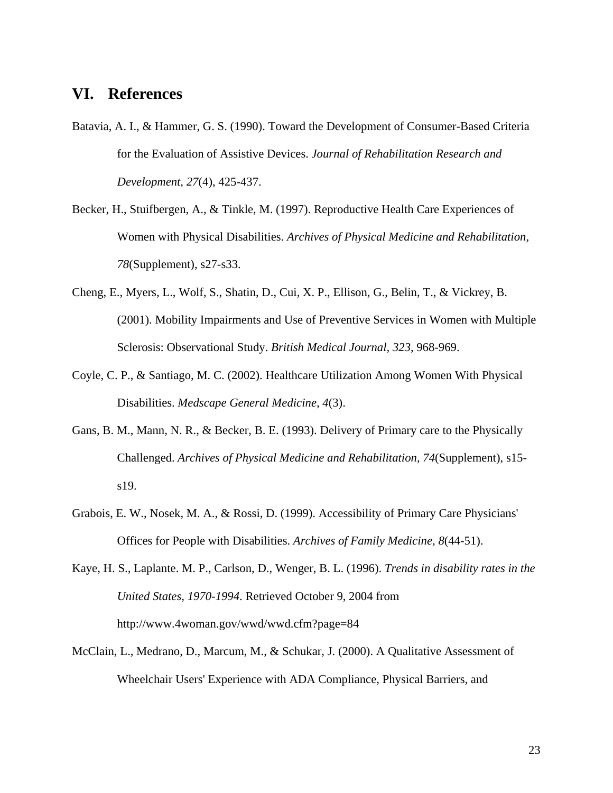### <span id="page-22-0"></span>**VI. References**

- Batavia, A. I., & Hammer, G. S. (1990). Toward the Development of Consumer-Based Criteria for the Evaluation of Assistive Devices. *Journal of Rehabilitation Research and Development, 27*(4), 425-437.
- Becker, H., Stuifbergen, A., & Tinkle, M. (1997). Reproductive Health Care Experiences of Women with Physical Disabilities. *Archives of Physical Medicine and Rehabilitation, 78*(Supplement), s27-s33.
- Cheng, E., Myers, L., Wolf, S., Shatin, D., Cui, X. P., Ellison, G., Belin, T., & Vickrey, B. (2001). Mobility Impairments and Use of Preventive Services in Women with Multiple Sclerosis: Observational Study. *British Medical Journal, 323*, 968-969.
- Coyle, C. P., & Santiago, M. C. (2002). Healthcare Utilization Among Women With Physical Disabilities. *Medscape General Medicine, 4*(3).
- Gans, B. M., Mann, N. R., & Becker, B. E. (1993). Delivery of Primary care to the Physically Challenged. *Archives of Physical Medicine and Rehabilitation, 74*(Supplement), s15 s19.
- Grabois, E. W., Nosek, M. A., & Rossi, D. (1999). Accessibility of Primary Care Physicians' Offices for People with Disabilities. *Archives of Family Medicine, 8*(44-51).
- Kaye, H. S., Laplante. M. P., Carlson, D., Wenger, B. L. (1996). *Trends in disability rates in the United States, 1970-1994*. Retrieved October 9, 2004 from http://www.4woman.gov/wwd/wwd.cfm?page=84
- McClain, L., Medrano, D., Marcum, M., & Schukar, J. (2000). A Qualitative Assessment of Wheelchair Users' Experience with ADA Compliance, Physical Barriers, and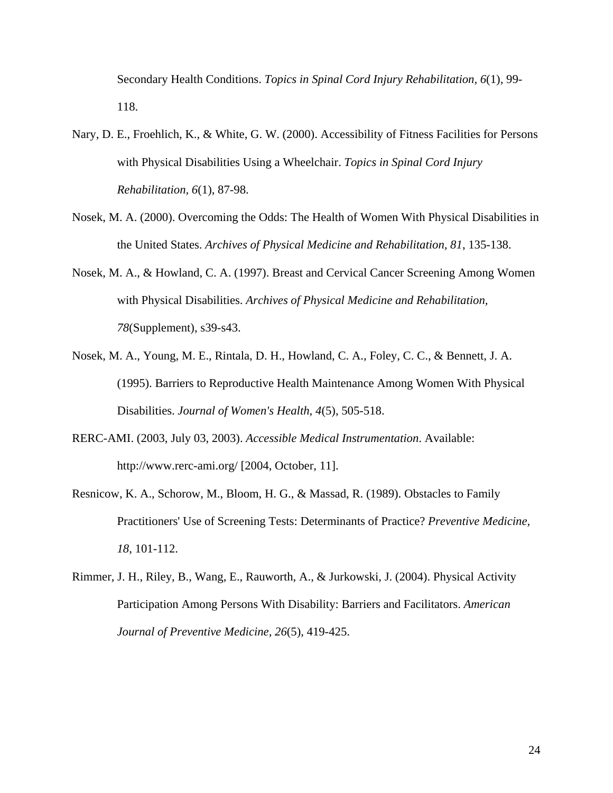Secondary Health Conditions. *Topics in Spinal Cord Injury Rehabilitation, 6*(1), 99- 118.

- Nary, D. E., Froehlich, K., & White, G. W. (2000). Accessibility of Fitness Facilities for Persons with Physical Disabilities Using a Wheelchair. *Topics in Spinal Cord Injury Rehabilitation, 6*(1), 87-98.
- Nosek, M. A. (2000). Overcoming the Odds: The Health of Women With Physical Disabilities in the United States. *Archives of Physical Medicine and Rehabilitation, 81*, 135-138.
- Nosek, M. A., & Howland, C. A. (1997). Breast and Cervical Cancer Screening Among Women with Physical Disabilities. *Archives of Physical Medicine and Rehabilitation, 78*(Supplement), s39-s43.
- Nosek, M. A., Young, M. E., Rintala, D. H., Howland, C. A., Foley, C. C., & Bennett, J. A. (1995). Barriers to Reproductive Health Maintenance Among Women With Physical Disabilities. *Journal of Women's Health, 4*(5), 505-518.
- RERC-AMI. (2003, July 03, 2003). *Accessible Medical Instrumentation*. Available: http://www.rerc-ami.org/ [2004, October, 11].
- Resnicow, K. A., Schorow, M., Bloom, H. G., & Massad, R. (1989). Obstacles to Family Practitioners' Use of Screening Tests: Determinants of Practice? *Preventive Medicine, 18*, 101-112.
- Rimmer, J. H., Riley, B., Wang, E., Rauworth, A., & Jurkowski, J. (2004). Physical Activity Participation Among Persons With Disability: Barriers and Facilitators. *American Journal of Preventive Medicine, 26*(5), 419-425.